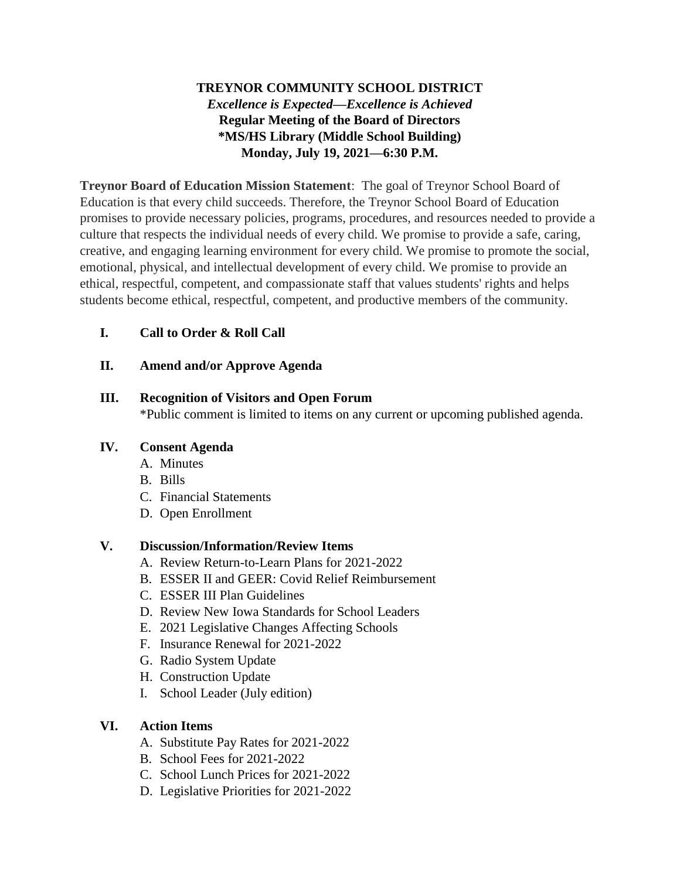# **TREYNOR COMMUNITY SCHOOL DISTRICT** *Excellence is Expected—Excellence is Achieved* **Regular Meeting of the Board of Directors \*MS/HS Library (Middle School Building) Monday, July 19, 2021—6:30 P.M.**

**Treynor Board of Education Mission Statement**: The goal of Treynor School Board of Education is that every child succeeds. Therefore, the Treynor School Board of Education promises to provide necessary policies, programs, procedures, and resources needed to provide a culture that respects the individual needs of every child. We promise to provide a safe, caring, creative, and engaging learning environment for every child. We promise to promote the social, emotional, physical, and intellectual development of every child. We promise to provide an ethical, respectful, competent, and compassionate staff that values students' rights and helps students become ethical, respectful, competent, and productive members of the community.

## **I. Call to Order & Roll Call**

## **II. Amend and/or Approve Agenda**

#### **III. Recognition of Visitors and Open Forum** \*Public comment is limited to items on any current or upcoming published agenda.

## **IV. Consent Agenda**

- A. Minutes
- B. Bills
- C. Financial Statements
- D. Open Enrollment

## **V. Discussion/Information/Review Items**

- A. Review Return-to-Learn Plans for 2021-2022
- B. ESSER II and GEER: Covid Relief Reimbursement
- C. ESSER III Plan Guidelines
- D. Review New Iowa Standards for School Leaders
- E. 2021 Legislative Changes Affecting Schools
- F. Insurance Renewal for 2021-2022
- G. Radio System Update
- H. Construction Update
- I. School Leader (July edition)

## **VI. Action Items**

- A. Substitute Pay Rates for 2021-2022
- B. School Fees for 2021-2022
- C. School Lunch Prices for 2021-2022
- D. Legislative Priorities for 2021-2022